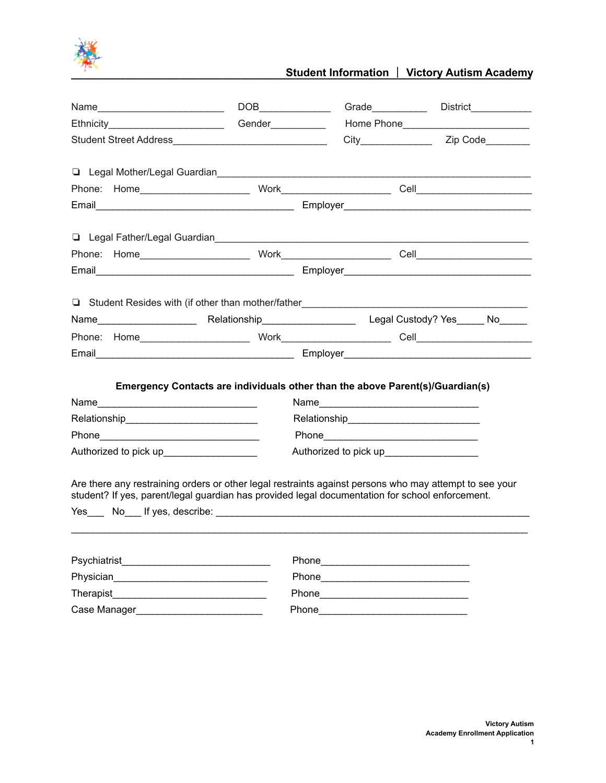

# **Student Information | Victory Autism Academy**

| Name                                       | $\begin{picture}(180,10) \put(0,0){\line(1,0){10}} \put(10,0){\line(1,0){10}} \put(10,0){\line(1,0){10}} \put(10,0){\line(1,0){10}} \put(10,0){\line(1,0){10}} \put(10,0){\line(1,0){10}} \put(10,0){\line(1,0){10}} \put(10,0){\line(1,0){10}} \put(10,0){\line(1,0){10}} \put(10,0){\line(1,0){10}} \put(10,0){\line(1,0){10}} \put(10,0){\line($ | Grade___________                                                                                                                                                                                                              | District____________ |
|--------------------------------------------|-----------------------------------------------------------------------------------------------------------------------------------------------------------------------------------------------------------------------------------------------------------------------------------------------------------------------------------------------------|-------------------------------------------------------------------------------------------------------------------------------------------------------------------------------------------------------------------------------|----------------------|
| Ethnicity__________________________        | Gender___________                                                                                                                                                                                                                                                                                                                                   |                                                                                                                                                                                                                               |                      |
|                                            |                                                                                                                                                                                                                                                                                                                                                     |                                                                                                                                                                                                                               |                      |
|                                            | Legal Mother/Legal Guardian<br>Legal Mother/Legal Guardian<br>Legal Mother/Legal Guardian                                                                                                                                                                                                                                                           |                                                                                                                                                                                                                               |                      |
|                                            |                                                                                                                                                                                                                                                                                                                                                     |                                                                                                                                                                                                                               |                      |
|                                            |                                                                                                                                                                                                                                                                                                                                                     |                                                                                                                                                                                                                               |                      |
|                                            |                                                                                                                                                                                                                                                                                                                                                     |                                                                                                                                                                                                                               |                      |
|                                            |                                                                                                                                                                                                                                                                                                                                                     |                                                                                                                                                                                                                               |                      |
|                                            |                                                                                                                                                                                                                                                                                                                                                     |                                                                                                                                                                                                                               |                      |
|                                            | Email Email Employer Contract Contract Contract Contract Contract Contract Contract Contract Contract Contract Contract Contract Contract Contract Contract Contract Contract Contract Contract Contract Contract Contract Con                                                                                                                      |                                                                                                                                                                                                                               |                      |
|                                            |                                                                                                                                                                                                                                                                                                                                                     |                                                                                                                                                                                                                               |                      |
|                                            | Student Resides with (if other than mother/father______________                                                                                                                                                                                                                                                                                     |                                                                                                                                                                                                                               |                      |
|                                            | Name___________________________________Relationship____________________________Legal Custody? Yes_______No______                                                                                                                                                                                                                                    |                                                                                                                                                                                                                               |                      |
|                                            |                                                                                                                                                                                                                                                                                                                                                     |                                                                                                                                                                                                                               |                      |
|                                            | Email Emergence Contract Contract Contract Contract Contract Contract Contract Contract Contract Contract Contract Contract Contract Contract Contract Contract Contract Contract Contract Contract Contract Contract Contract                                                                                                                      |                                                                                                                                                                                                                               |                      |
|                                            |                                                                                                                                                                                                                                                                                                                                                     |                                                                                                                                                                                                                               |                      |
|                                            | Emergency Contacts are individuals other than the above Parent(s)/Guardian(s)                                                                                                                                                                                                                                                                       |                                                                                                                                                                                                                               |                      |
|                                            |                                                                                                                                                                                                                                                                                                                                                     |                                                                                                                                                                                                                               |                      |
| Relationship______________________________ |                                                                                                                                                                                                                                                                                                                                                     |                                                                                                                                                                                                                               |                      |
|                                            |                                                                                                                                                                                                                                                                                                                                                     |                                                                                                                                                                                                                               |                      |
| Authorized to pick up__________________    |                                                                                                                                                                                                                                                                                                                                                     | Authorized to pick up____________________                                                                                                                                                                                     |                      |
|                                            |                                                                                                                                                                                                                                                                                                                                                     |                                                                                                                                                                                                                               |                      |
|                                            | Are there any restraining orders or other legal restraints against persons who may attempt to see your                                                                                                                                                                                                                                              |                                                                                                                                                                                                                               |                      |
|                                            | student? If yes, parent/legal guardian has provided legal documentation for school enforcement.                                                                                                                                                                                                                                                     |                                                                                                                                                                                                                               |                      |
|                                            |                                                                                                                                                                                                                                                                                                                                                     |                                                                                                                                                                                                                               |                      |
|                                            |                                                                                                                                                                                                                                                                                                                                                     |                                                                                                                                                                                                                               |                      |
|                                            |                                                                                                                                                                                                                                                                                                                                                     |                                                                                                                                                                                                                               |                      |
|                                            |                                                                                                                                                                                                                                                                                                                                                     | Phone <b>Manufacturers Phone</b>                                                                                                                                                                                              |                      |
|                                            |                                                                                                                                                                                                                                                                                                                                                     |                                                                                                                                                                                                                               |                      |
|                                            |                                                                                                                                                                                                                                                                                                                                                     | Phone Phone Phone Phone Phone Phone Phone Phone Phone Phone Phone Phone Phone Phone Phone Phone Phone Phone Phone Phone Phone Phone Phone Phone Phone Phone Phone Phone Phone Phone Phone Phone Phone Phone Phone Phone Phone |                      |
|                                            |                                                                                                                                                                                                                                                                                                                                                     |                                                                                                                                                                                                                               |                      |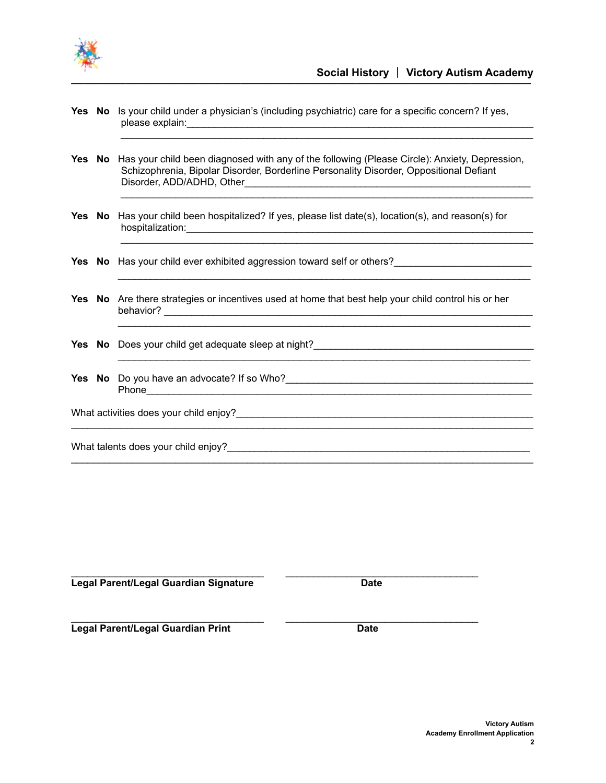

 $\_$ 

|  | Yes No Is your child under a physician's (including psychiatric) care for a specific concern? If yes,<br>please explain: |
|--|--------------------------------------------------------------------------------------------------------------------------|
|  |                                                                                                                          |

**Yes No** Has your child been diagnosed with any of the following (Please Circle): Anxiety, Depression, Schizophrenia, Bipolar Disorder, Borderline Personality Disorder, Oppositional Defiant Disorder, ADD/ADHD, Other\_\_\_\_\_\_\_\_\_\_\_\_\_\_\_\_\_\_\_\_\_\_\_\_\_\_\_\_\_\_\_\_\_\_\_\_\_\_\_\_\_\_\_\_\_\_\_\_\_\_\_\_

 $\mathcal{L}_\text{max}$  , and the set of the set of the set of the set of the set of the set of the set of the set of the set of the set of the set of the set of the set of the set of the set of the set of the set of the set of the

 $\_$  , and the set of the set of the set of the set of the set of the set of the set of the set of the set of the set of the set of the set of the set of the set of the set of the set of the set of the set of the set of th

\_\_\_\_\_\_\_\_\_\_\_\_\_\_\_\_\_\_\_\_\_\_\_\_\_\_\_\_\_\_\_\_\_\_\_\_\_\_\_\_\_\_\_\_\_\_\_\_\_\_\_\_\_\_\_\_\_\_\_\_\_\_\_\_\_\_\_\_\_\_\_\_\_\_\_

\_\_\_\_\_\_\_\_\_\_\_\_\_\_\_\_\_\_\_\_\_\_\_\_\_\_\_\_\_\_\_\_\_\_\_\_\_\_\_\_\_\_\_\_\_\_\_\_\_\_\_\_\_\_\_\_\_\_\_\_\_\_\_\_\_\_\_\_\_\_\_\_\_\_\_

 $\_$  ,  $\_$  ,  $\_$  ,  $\_$  ,  $\_$  ,  $\_$  ,  $\_$  ,  $\_$  ,  $\_$  ,  $\_$  ,  $\_$  ,  $\_$  ,  $\_$  ,  $\_$  ,  $\_$  ,  $\_$  ,  $\_$  ,  $\_$  ,  $\_$  ,  $\_$  ,  $\_$  ,  $\_$  ,  $\_$  ,  $\_$  ,  $\_$  ,  $\_$  ,  $\_$  ,  $\_$  ,  $\_$  ,  $\_$  ,  $\_$  ,  $\_$  ,  $\_$  ,  $\_$  ,  $\_$  ,  $\_$  ,  $\_$  ,

 $\_$  ,  $\_$  ,  $\_$  ,  $\_$  ,  $\_$  ,  $\_$  ,  $\_$  ,  $\_$  ,  $\_$  ,  $\_$  ,  $\_$  ,  $\_$  ,  $\_$  ,  $\_$  ,  $\_$  ,  $\_$  ,  $\_$  ,  $\_$  ,  $\_$  ,  $\_$  ,  $\_$  ,  $\_$  ,  $\_$  ,  $\_$  ,  $\_$  ,  $\_$  ,  $\_$  ,  $\_$  ,  $\_$  ,  $\_$  ,  $\_$  ,  $\_$  ,  $\_$  ,  $\_$  ,  $\_$  ,  $\_$  ,  $\_$  ,

- **Yes No** Has your child been hospitalized? If yes, please list date(s), location(s), and reason(s) for hospitalization:\_\_\_\_\_\_\_\_\_\_\_\_\_\_\_\_\_\_\_\_\_\_\_\_\_\_\_\_\_\_\_\_\_\_\_\_\_\_\_\_\_\_\_\_\_\_\_\_\_\_\_\_\_\_\_\_\_\_\_\_\_\_\_
- **Yes No** Has your child ever exhibited aggression toward self or others?
- **Yes No** Are there strategies or incentives used at home that best help your child control his or her behavior? \_\_\_\_\_\_\_\_\_\_\_\_\_\_\_\_\_\_\_\_\_\_\_\_\_\_\_\_\_\_\_\_\_\_\_\_\_\_\_\_\_\_\_\_\_\_\_\_\_\_\_\_\_\_\_\_\_\_\_\_\_\_\_\_\_\_\_
- **Yes** No Does your child get adequate sleep at night?\_\_\_\_\_\_\_\_\_\_\_\_\_\_\_\_\_\_\_\_\_\_\_\_\_\_\_\_\_
- **Yes No** Do you have an advocate? If so Who?\_\_\_\_\_\_\_\_\_\_\_\_\_\_\_\_\_\_\_\_\_\_\_\_\_\_\_\_\_\_\_\_\_\_\_\_\_\_\_\_\_\_\_\_\_ Phone\_\_\_\_\_\_\_\_\_\_\_\_\_\_\_\_\_\_\_\_\_\_\_\_\_\_\_\_\_\_\_\_\_\_\_\_\_\_\_\_\_\_\_\_\_\_\_\_\_\_\_\_\_\_\_\_\_\_\_\_\_\_\_\_\_\_\_\_\_\_

What activities does your child enjoy?\_\_\_\_\_\_\_\_\_\_\_\_\_\_\_\_\_\_\_\_\_\_\_\_\_\_\_\_\_\_\_\_\_\_\_\_\_\_\_\_\_\_\_\_\_\_\_\_\_\_\_\_\_\_

What talents does your child enjoy?

\_\_\_\_\_\_\_\_\_\_\_\_\_\_\_\_\_\_\_\_\_\_\_\_\_\_\_\_\_\_\_\_\_\_\_ \_\_\_\_\_\_\_\_\_\_\_\_\_\_\_\_\_\_\_\_\_\_\_\_\_\_\_\_\_\_\_\_\_\_\_ **Legal Parent/Legal Guardian Signature Date** 

 $\_$  ,  $\_$  ,  $\_$  ,  $\_$  ,  $\_$  ,  $\_$  ,  $\_$  ,  $\_$  ,  $\_$  ,  $\_$  ,  $\_$  ,  $\_$  ,  $\_$  ,  $\_$  ,  $\_$  ,  $\_$  ,  $\_$  ,  $\_$ **Legal Parent/Legal Guardian Print Date**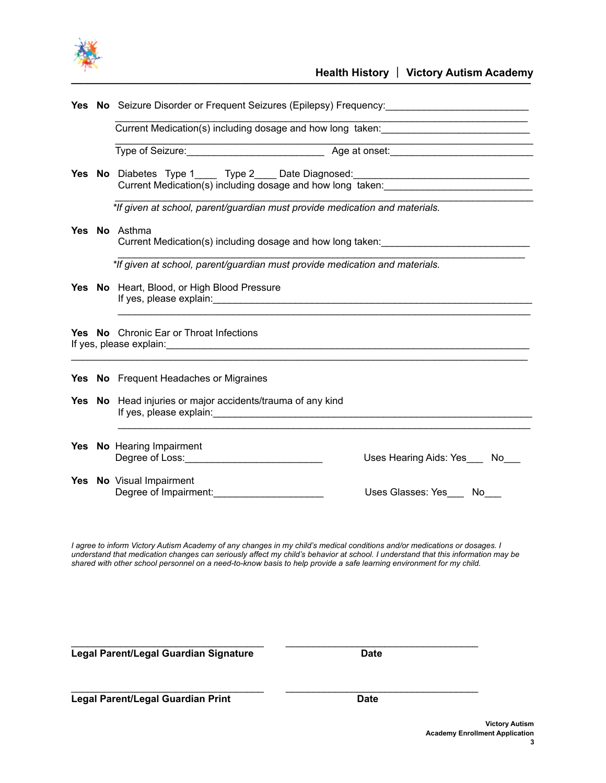

|  | Yes No Seizure Disorder or Frequent Seizures (Epilepsy) Frequency:                                                                                                                                                                                                                              |  |  |  |
|--|-------------------------------------------------------------------------------------------------------------------------------------------------------------------------------------------------------------------------------------------------------------------------------------------------|--|--|--|
|  |                                                                                                                                                                                                                                                                                                 |  |  |  |
|  | <u> 1980 - Johann John Stein, market fransk fotballström (</u><br>Type of Seizure: <u>New York: Age at onset:</u> Age at onset:                                                                                                                                                                 |  |  |  |
|  | Yes No Diabetes Type 1_____ Type 2____ Date Diagnosed:__________________________<br>Current Medication(s) including dosage and how long taken:                                                                                                                                                  |  |  |  |
|  | *If given at school, parent/guardian must provide medication and materials.                                                                                                                                                                                                                     |  |  |  |
|  | Yes No Asthma<br>Current Medication(s) including dosage and how long taken: _____________________                                                                                                                                                                                               |  |  |  |
|  | *If given at school, parent/guardian must provide medication and materials.                                                                                                                                                                                                                     |  |  |  |
|  | <b>Yes No</b> Heart, Blood, or High Blood Pressure                                                                                                                                                                                                                                              |  |  |  |
|  | <b>Yes No</b> Chronic Ear or Throat Infections                                                                                                                                                                                                                                                  |  |  |  |
|  | Yes No Frequent Headaches or Migraines                                                                                                                                                                                                                                                          |  |  |  |
|  | Yes No Head injuries or major accidents/trauma of any kind                                                                                                                                                                                                                                      |  |  |  |
|  | Yes No Hearing Impairment<br>Uses Hearing Aids: Yes ___ No___<br>Degree of Loss: Note and the series of the series of the series of the series of the series of the series of the series of the series of the series of the series of the series of the series of the series of the series of t |  |  |  |
|  | Yes No Visual Impairment<br>Degree of Impairment:<br>Uses Glasses: Yes No                                                                                                                                                                                                                       |  |  |  |
|  |                                                                                                                                                                                                                                                                                                 |  |  |  |

I agree to inform Victory Autism Academy of any changes in my child's medical conditions and/or medications or dosages. I understand that medication changes can seriously affect my child's behavior at school. I understand that this information may be shared with other school personnel on a need-to-know basis to help provide a safe learning environment for my child.

 $\_$  ,  $\_$  ,  $\_$  ,  $\_$  ,  $\_$  ,  $\_$  ,  $\_$  ,  $\_$  ,  $\_$  ,  $\_$  ,  $\_$  ,  $\_$  ,  $\_$  ,  $\_$  ,  $\_$  ,  $\_$  ,  $\_$  ,  $\_$ 

\_\_\_\_\_\_\_\_\_\_\_\_\_\_\_\_\_\_\_\_\_\_\_\_\_\_\_\_\_\_\_\_\_\_\_ \_\_\_\_\_\_\_\_\_\_\_\_\_\_\_\_\_\_\_\_\_\_\_\_\_\_\_\_\_\_\_\_\_\_\_

**Legal Parent/Legal Guardian Signature Date** Date

**Legal Parent/Legal Guardian Print Date**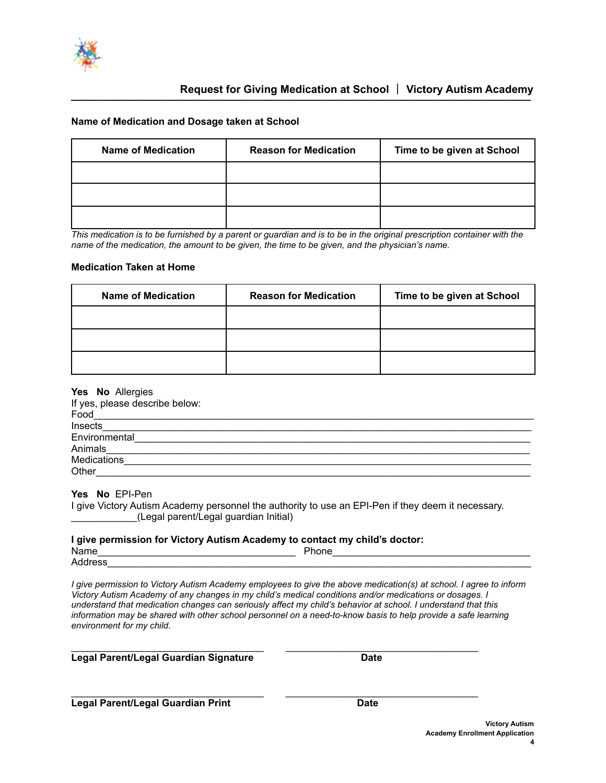

# **Request for Giving Medication at School** | Victory Autism Academy

## **Name of Medication and Dosage taken at School**

| <b>Name of Medication</b> | <b>Reason for Medication</b> | Time to be given at School |
|---------------------------|------------------------------|----------------------------|
|                           |                              |                            |
|                           |                              |                            |
|                           |                              |                            |

*This medication is to be furnished by a parent or guardian and is to be in the original prescription container with the name of the medication, the amount to be given, the time to be given, and the physician's name.*

## **Medication Taken at Home**

| <b>Name of Medication</b> | <b>Reason for Medication</b> | Time to be given at School |
|---------------------------|------------------------------|----------------------------|
|                           |                              |                            |
|                           |                              |                            |
|                           |                              |                            |

#### **Yes No** Allergies

| If yes, please describe below: |  |
|--------------------------------|--|
| Food                           |  |
| Insects                        |  |
| Environmental                  |  |
| Animals                        |  |
| Medications                    |  |
| Other                          |  |

# **Yes No** EPI-Pen

I give Victory Autism Academy personnel the authority to use an EPI-Pen if they deem it necessary. \_\_\_\_\_\_\_\_\_\_\_\_(Legal parent/Legal guardian Initial)

#### **I give permission for Victory Autism Academy to contact my child's doctor:**

| Name   | D-<br>- - -<br>none |  |
|--------|---------------------|--|
| Addres |                     |  |

*I give permission to Victory Autism Academy employees to give the above medication(s) at school. I agree to inform Victory Autism Academy of any changes in my child's medical conditions and/or medications or dosages. I understand that medication changes can seriously affect my child's behavior at school. I understand that this information may be shared with other school personnel on a need-to-know basis to help provide a safe learning environment for my child.*

 $\_$  ,  $\_$  ,  $\_$  ,  $\_$  ,  $\_$  ,  $\_$  ,  $\_$  ,  $\_$  ,  $\_$  ,  $\_$  ,  $\_$  ,  $\_$  ,  $\_$  ,  $\_$  ,  $\_$  ,  $\_$  ,  $\_$  ,  $\_$ 

\_\_\_\_\_\_\_\_\_\_\_\_\_\_\_\_\_\_\_\_\_\_\_\_\_\_\_\_\_\_\_\_\_\_\_ \_\_\_\_\_\_\_\_\_\_\_\_\_\_\_\_\_\_\_\_\_\_\_\_\_\_\_\_\_\_\_\_\_\_\_

## **Legal Parent/Legal Guardian Signature Date**

**Legal Parent/Legal Guardian Print Date**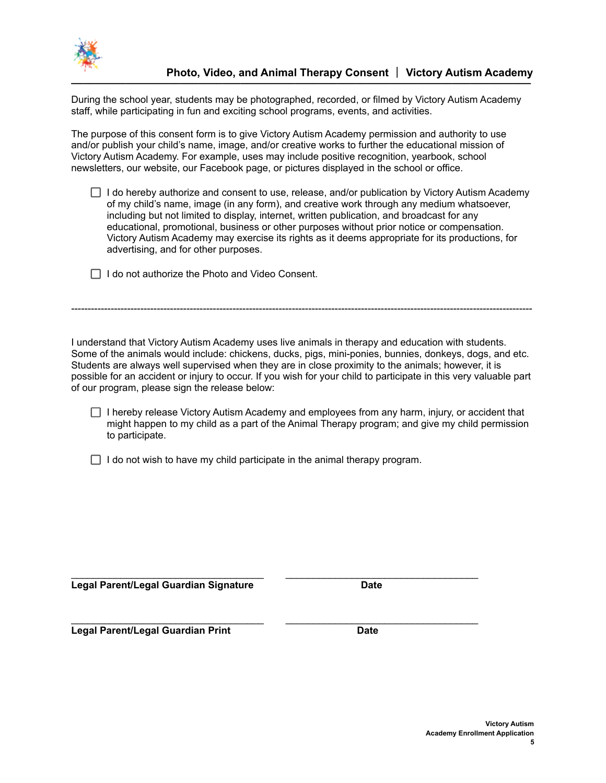

During the school year, students may be photographed, recorded, or filmed by Victory Autism Academy staff, while participating in fun and exciting school programs, events, and activities.

The purpose of this consent form is to give Victory Autism Academy permission and authority to use and/or publish your child's name, image, and/or creative works to further the educational mission of Victory Autism Academy. For example, uses may include positive recognition, yearbook, school newsletters, our website, our Facebook page, or pictures displayed in the school or office.

 $\Box$  I do hereby authorize and consent to use, release, and/or publication by Victory Autism Academy of my child's name, image (in any form), and creative work through any medium whatsoever, including but not limited to display, internet, written publication, and broadcast for any educational, promotional, business or other purposes without prior notice or compensation. Victory Autism Academy may exercise its rights as it deems appropriate for its productions, for advertising, and for other purposes.

 $\Box$  I do not authorize the Photo and Video Consent.

I understand that Victory Autism Academy uses live animals in therapy and education with students. Some of the animals would include: chickens, ducks, pigs, mini-ponies, bunnies, donkeys, dogs, and etc. Students are always well supervised when they are in close proximity to the animals; however, it is possible for an accident or injury to occur. If you wish for your child to participate in this very valuable part of our program, please sign the release below:

--------------------------------------------------------------------------------------------------------------------------------------------

 $\Box$  I hereby release Victory Autism Academy and employees from any harm, injury, or accident that might happen to my child as a part of the Animal Therapy program; and give my child permission to participate.

 $\Box$  I do not wish to have my child participate in the animal therapy program.

\_\_\_\_\_\_\_\_\_\_\_\_\_\_\_\_\_\_\_\_\_\_\_\_\_\_\_\_\_\_\_\_\_\_\_ \_\_\_\_\_\_\_\_\_\_\_\_\_\_\_\_\_\_\_\_\_\_\_\_\_\_\_\_\_\_\_\_\_\_\_

**Legal Parent/Legal Guardian Signature Date**

\_\_\_\_\_\_\_\_\_\_\_\_\_\_\_\_\_\_\_\_\_\_\_\_\_\_\_\_\_\_\_\_\_\_\_ \_\_\_\_\_\_\_\_\_\_\_\_\_\_\_\_\_\_\_\_\_\_\_\_\_\_\_\_\_\_\_\_\_\_\_ **Legal Parent/Legal Guardian Print Date**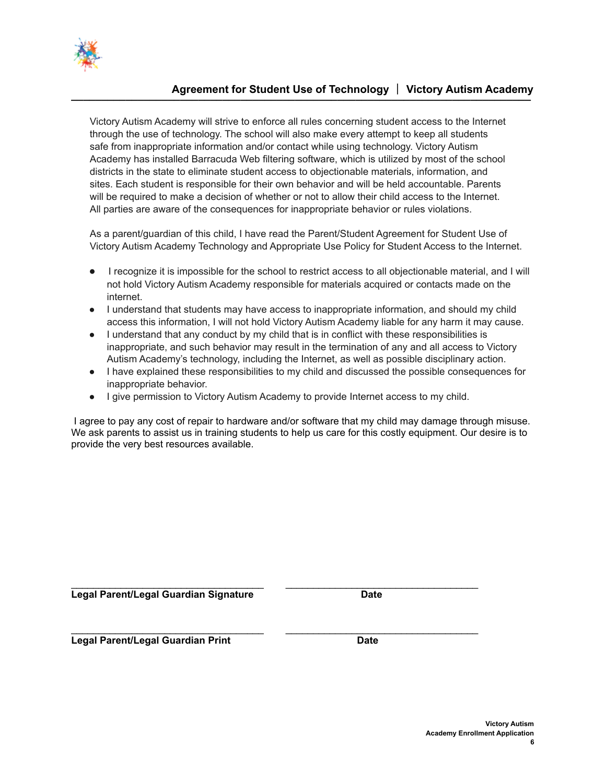

# **Agreement for Student Use of Technology** | **Victory Autism Academy \_\_\_\_\_\_\_\_\_\_\_\_\_\_\_\_\_\_\_\_\_\_\_\_\_\_\_\_\_\_\_\_\_\_\_\_\_\_\_\_\_\_\_\_\_\_\_\_\_\_\_\_\_\_\_\_\_\_\_\_\_\_\_\_\_\_\_\_\_\_\_\_\_\_\_\_**

Victory Autism Academy will strive to enforce all rules concerning student access to the Internet through the use of technology. The school will also make every attempt to keep all students safe from inappropriate information and/or contact while using technology. Victory Autism Academy has installed Barracuda Web filtering software, which is utilized by most of the school districts in the state to eliminate student access to objectionable materials, information, and sites. Each student is responsible for their own behavior and will be held accountable. Parents will be required to make a decision of whether or not to allow their child access to the Internet. All parties are aware of the consequences for inappropriate behavior or rules violations.

As a parent/guardian of this child, I have read the Parent/Student Agreement for Student Use of Victory Autism Academy Technology and Appropriate Use Policy for Student Access to the Internet.

- I recognize it is impossible for the school to restrict access to all objectionable material, and I will not hold Victory Autism Academy responsible for materials acquired or contacts made on the internet.
- I understand that students may have access to inappropriate information, and should my child access this information, I will not hold Victory Autism Academy liable for any harm it may cause.
- I understand that any conduct by my child that is in conflict with these responsibilities is inappropriate, and such behavior may result in the termination of any and all access to Victory Autism Academy's technology, including the Internet, as well as possible disciplinary action.
- I have explained these responsibilities to my child and discussed the possible consequences for inappropriate behavior.
- I give permission to Victory Autism Academy to provide Internet access to my child.

\_\_\_\_\_\_\_\_\_\_\_\_\_\_\_\_\_\_\_\_\_\_\_\_\_\_\_\_\_\_\_\_\_\_\_ \_\_\_\_\_\_\_\_\_\_\_\_\_\_\_\_\_\_\_\_\_\_\_\_\_\_\_\_\_\_\_\_\_\_\_

 $\_$  ,  $\_$  ,  $\_$  ,  $\_$  ,  $\_$  ,  $\_$  ,  $\_$  ,  $\_$  ,  $\_$  ,  $\_$  ,  $\_$  ,  $\_$  ,  $\_$  ,  $\_$  ,  $\_$  ,  $\_$  ,  $\_$  ,  $\_$ 

I agree to pay any cost of repair to hardware and/or software that my child may damage through misuse. We ask parents to assist us in training students to help us care for this costly equipment. Our desire is to provide the very best resources available.

**Legal Parent/Legal Guardian Signature Date**

**Legal Parent/Legal Guardian Print Date**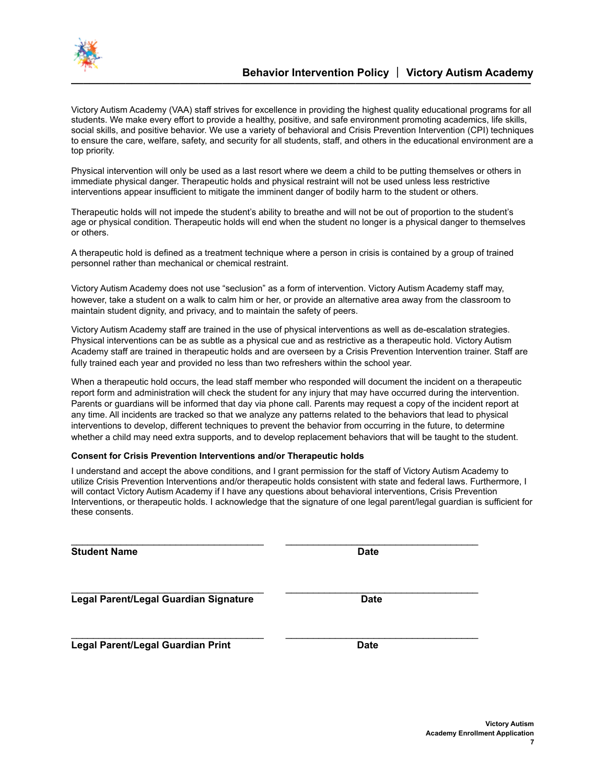

Victory Autism Academy (VAA) staff strives for excellence in providing the highest quality educational programs for all students. We make every effort to provide a healthy, positive, and safe environment promoting academics, life skills, social skills, and positive behavior. We use a variety of behavioral and Crisis Prevention Intervention (CPI) techniques to ensure the care, welfare, safety, and security for all students, staff, and others in the educational environment are a top priority.

Physical intervention will only be used as a last resort where we deem a child to be putting themselves or others in immediate physical danger. Therapeutic holds and physical restraint will not be used unless less restrictive interventions appear insufficient to mitigate the imminent danger of bodily harm to the student or others.

Therapeutic holds will not impede the student's ability to breathe and will not be out of proportion to the student's age or physical condition. Therapeutic holds will end when the student no longer is a physical danger to themselves or others.

A therapeutic hold is defined as a treatment technique where a person in crisis is contained by a group of trained personnel rather than mechanical or chemical restraint.

Victory Autism Academy does not use "seclusion" as a form of intervention. Victory Autism Academy staff may, however, take a student on a walk to calm him or her, or provide an alternative area away from the classroom to maintain student dignity, and privacy, and to maintain the safety of peers.

Victory Autism Academy staff are trained in the use of physical interventions as well as de-escalation strategies. Physical interventions can be as subtle as a physical cue and as restrictive as a therapeutic hold. Victory Autism Academy staff are trained in therapeutic holds and are overseen by a Crisis Prevention Intervention trainer. Staff are fully trained each year and provided no less than two refreshers within the school year.

When a therapeutic hold occurs, the lead staff member who responded will document the incident on a therapeutic report form and administration will check the student for any injury that may have occurred during the intervention. Parents or guardians will be informed that day via phone call. Parents may request a copy of the incident report at any time. All incidents are tracked so that we analyze any patterns related to the behaviors that lead to physical interventions to develop, different techniques to prevent the behavior from occurring in the future, to determine whether a child may need extra supports, and to develop replacement behaviors that will be taught to the student.

#### **Consent for Crisis Prevention Interventions and/or Therapeutic holds**

I understand and accept the above conditions, and I grant permission for the staff of Victory Autism Academy to utilize Crisis Prevention Interventions and/or therapeutic holds consistent with state and federal laws. Furthermore, I will contact Victory Autism Academy if I have any questions about behavioral interventions, Crisis Prevention Interventions, or therapeutic holds. I acknowledge that the signature of one legal parent/legal guardian is sufficient for these consents.

\_\_\_\_\_\_\_\_\_\_\_\_\_\_\_\_\_\_\_\_\_\_\_\_\_\_\_\_\_\_\_\_\_\_\_ \_\_\_\_\_\_\_\_\_\_\_\_\_\_\_\_\_\_\_\_\_\_\_\_\_\_\_\_\_\_\_\_\_\_\_

\_\_\_\_\_\_\_\_\_\_\_\_\_\_\_\_\_\_\_\_\_\_\_\_\_\_\_\_\_\_\_\_\_\_\_ \_\_\_\_\_\_\_\_\_\_\_\_\_\_\_\_\_\_\_\_\_\_\_\_\_\_\_\_\_\_\_\_\_\_\_ **Student Name Date**

**Legal Parent/Legal Guardian Signature Date**

**Legal Parent/Legal Guardian Print Date**

\_\_\_\_\_\_\_\_\_\_\_\_\_\_\_\_\_\_\_\_\_\_\_\_\_\_\_\_\_\_\_\_\_\_\_ \_\_\_\_\_\_\_\_\_\_\_\_\_\_\_\_\_\_\_\_\_\_\_\_\_\_\_\_\_\_\_\_\_\_\_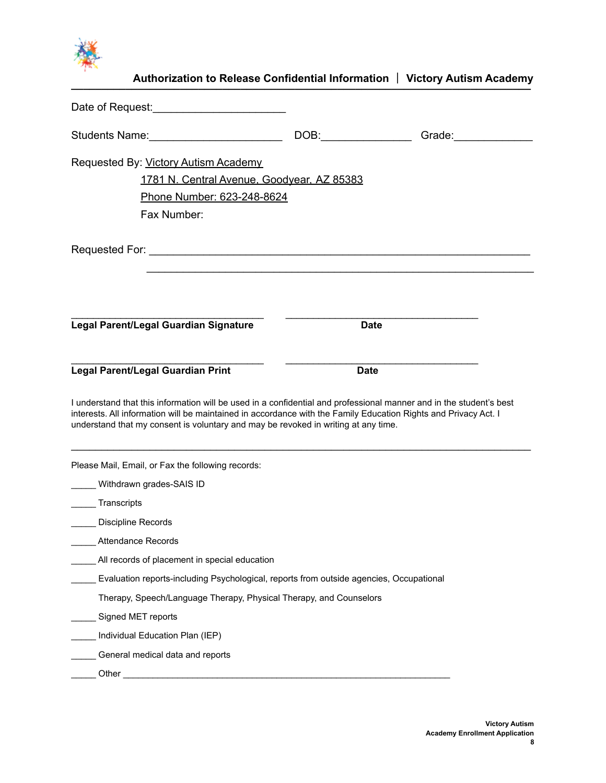

| Authorization to Release Confidential Information   Victory Autism Academy                                                                                                                                                                                                                                                   |             |  |
|------------------------------------------------------------------------------------------------------------------------------------------------------------------------------------------------------------------------------------------------------------------------------------------------------------------------------|-------------|--|
|                                                                                                                                                                                                                                                                                                                              |             |  |
| Students Name: __________________________                                                                                                                                                                                                                                                                                    |             |  |
| Requested By: Victory Autism Academy                                                                                                                                                                                                                                                                                         |             |  |
| 1781 N. Central Avenue, Goodyear, AZ 85383                                                                                                                                                                                                                                                                                   |             |  |
| Phone Number: 623-248-8624                                                                                                                                                                                                                                                                                                   |             |  |
| Fax Number:                                                                                                                                                                                                                                                                                                                  |             |  |
|                                                                                                                                                                                                                                                                                                                              |             |  |
|                                                                                                                                                                                                                                                                                                                              |             |  |
| Legal Parent/Legal Guardian Signature                                                                                                                                                                                                                                                                                        | <b>Date</b> |  |
|                                                                                                                                                                                                                                                                                                                              |             |  |
| <b>Legal Parent/Legal Guardian Print</b>                                                                                                                                                                                                                                                                                     | <b>Date</b> |  |
| I understand that this information will be used in a confidential and professional manner and in the student's best<br>interests. All information will be maintained in accordance with the Family Education Rights and Privacy Act. I<br>understand that my consent is voluntary and may be revoked in writing at any time. |             |  |
| Please Mail, Email, or Fax the following records:                                                                                                                                                                                                                                                                            |             |  |
| Withdrawn grades-SAIS ID                                                                                                                                                                                                                                                                                                     |             |  |
| Transcripts                                                                                                                                                                                                                                                                                                                  |             |  |
| Discipline Records                                                                                                                                                                                                                                                                                                           |             |  |
| <b>Attendance Records</b>                                                                                                                                                                                                                                                                                                    |             |  |
| All records of placement in special education                                                                                                                                                                                                                                                                                |             |  |
| Evaluation reports-including Psychological, reports from outside agencies, Occupational                                                                                                                                                                                                                                      |             |  |
| Therapy, Speech/Language Therapy, Physical Therapy, and Counselors                                                                                                                                                                                                                                                           |             |  |
| Signed MET reports                                                                                                                                                                                                                                                                                                           |             |  |
| Individual Education Plan (IEP)                                                                                                                                                                                                                                                                                              |             |  |
| General medical data and reports                                                                                                                                                                                                                                                                                             |             |  |
| Other                                                                                                                                                                                                                                                                                                                        |             |  |
|                                                                                                                                                                                                                                                                                                                              |             |  |